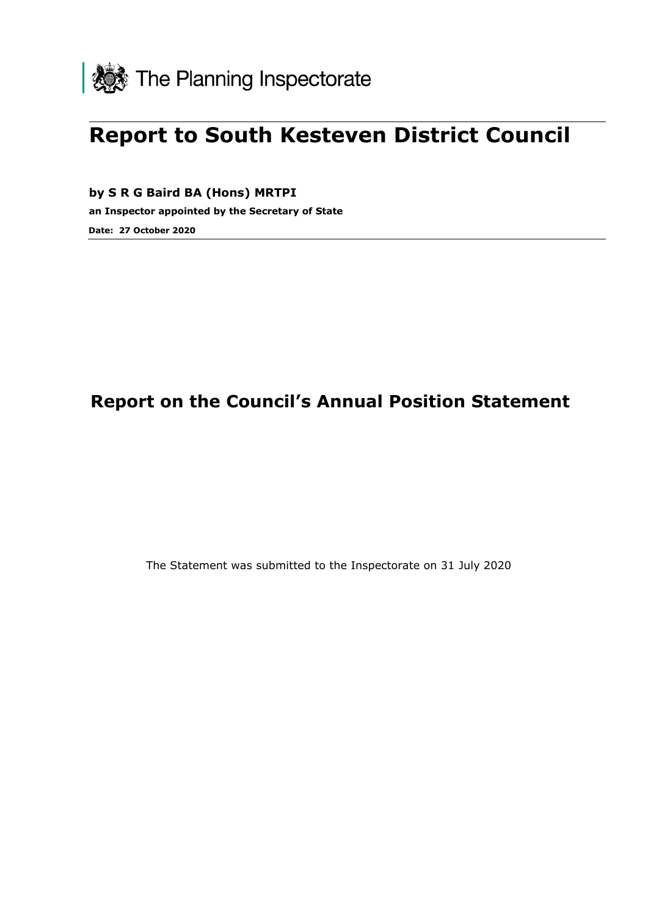

# **Report to South Kesteven District Council**

**by S R G Baird BA (Hons) MRTPI**

**an Inspector appointed by the Secretary of State** 

**Date: 27 October 2020**

# **Report on the Council's Annual Position Statement**

The Statement was submitted to the Inspectorate on 31 July 2020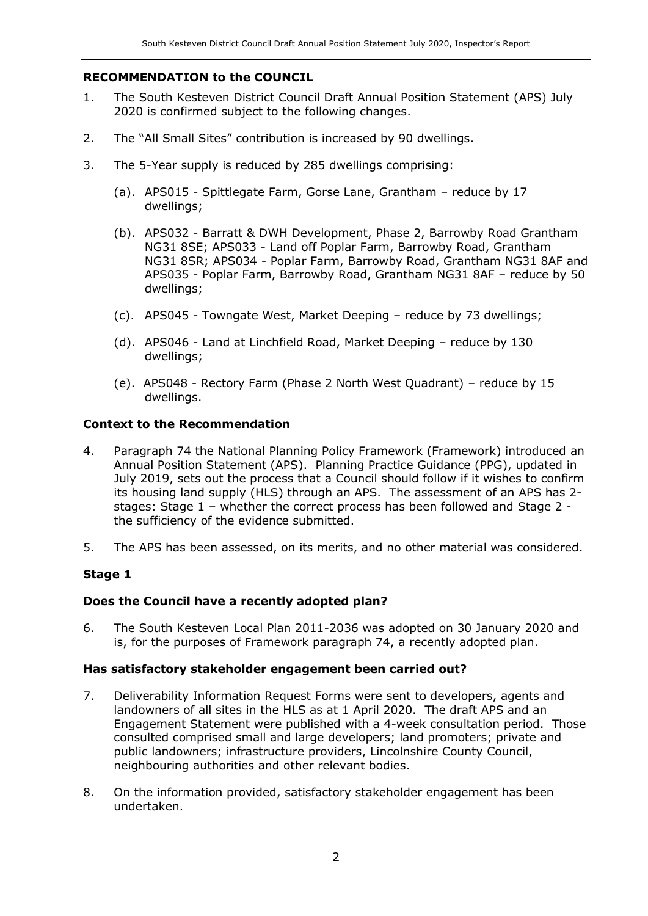# **RECOMMENDATION to the COUNCIL**

- 1. The South Kesteven District Council Draft Annual Position Statement (APS) July 2020 is confirmed subject to the following changes.
- 2. The "All Small Sites" contribution is increased by 90 dwellings.
- 3. The 5-Year supply is reduced by 285 dwellings comprising:
	- (a). APS015 Spittlegate Farm, Gorse Lane, Grantham reduce by 17 dwellings;
	- (b). APS032 Barratt & DWH Development, Phase 2, Barrowby Road Grantham NG31 8SE; APS033 - Land off Poplar Farm, Barrowby Road, Grantham NG31 8SR; APS034 - Poplar Farm, Barrowby Road, Grantham NG31 8AF and APS035 - Poplar Farm, Barrowby Road, Grantham NG31 8AF – reduce by 50 dwellings;
	- (c). APS045 Towngate West, Market Deeping reduce by 73 dwellings;
	- (d). APS046 Land at Linchfield Road, Market Deeping reduce by 130 dwellings;
	- (e). APS048 Rectory Farm (Phase 2 North West Quadrant) reduce by 15 dwellings.

# **Context to the Recommendation**

- 4. Paragraph 74 the National Planning Policy Framework (Framework) introduced an Annual Position Statement (APS). Planning Practice Guidance (PPG), updated in July 2019, sets out the process that a Council should follow if it wishes to confirm its housing land supply (HLS) through an APS. The assessment of an APS has 2 stages: Stage 1 – whether the correct process has been followed and Stage 2 the sufficiency of the evidence submitted.
- 5. The APS has been assessed, on its merits, and no other material was considered.

# **Stage 1**

#### **Does the Council have a recently adopted plan?**

6. The South Kesteven Local Plan 2011-2036 was adopted on 30 January 2020 and is, for the purposes of Framework paragraph 74, a recently adopted plan.

#### **Has satisfactory stakeholder engagement been carried out?**

- 7. Deliverability Information Request Forms were sent to developers, agents and landowners of all sites in the HLS as at 1 April 2020. The draft APS and an Engagement Statement were published with a 4-week consultation period. Those consulted comprised small and large developers; land promoters; private and public landowners; infrastructure providers, Lincolnshire County Council, neighbouring authorities and other relevant bodies.
- 8. On the information provided, satisfactory stakeholder engagement has been undertaken.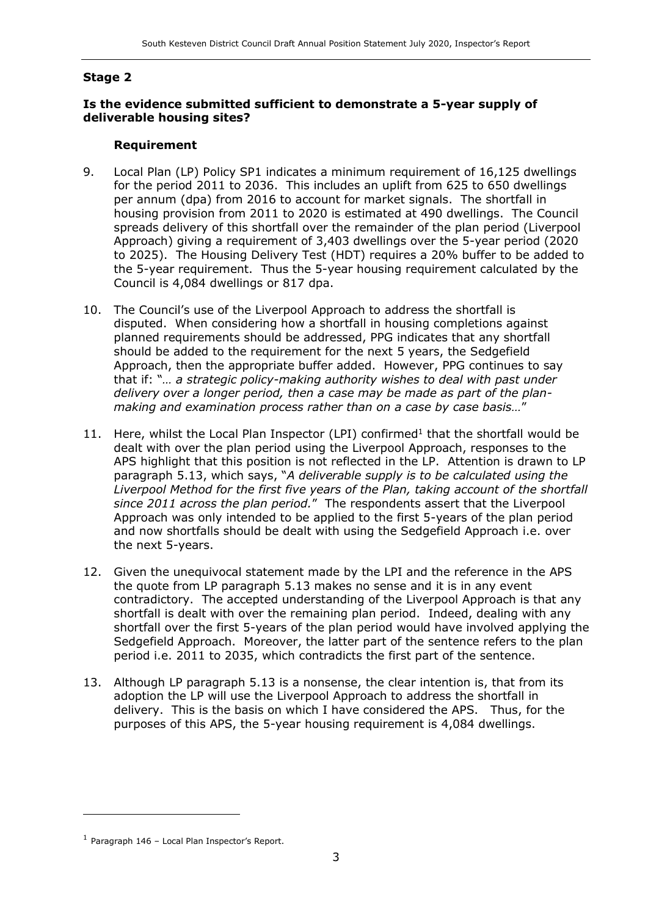# **Stage 2**

### **Is the evidence submitted sufficient to demonstrate a 5-year supply of deliverable housing sites?**

#### **Requirement**

- 9. Local Plan (LP) Policy SP1 indicates a minimum requirement of 16,125 dwellings for the period 2011 to 2036. This includes an uplift from 625 to 650 dwellings per annum (dpa) from 2016 to account for market signals. The shortfall in housing provision from 2011 to 2020 is estimated at 490 dwellings. The Council spreads delivery of this shortfall over the remainder of the plan period (Liverpool Approach) giving a requirement of 3,403 dwellings over the 5-year period (2020 to 2025). The Housing Delivery Test (HDT) requires a 20% buffer to be added to the 5-year requirement. Thus the 5-year housing requirement calculated by the Council is 4,084 dwellings or 817 dpa.
- 10. The Council's use of the Liverpool Approach to address the shortfall is disputed. When considering how a shortfall in housing completions against planned requirements should be addressed, PPG indicates that any shortfall should be added to the requirement for the next 5 years, the Sedgefield Approach, then the appropriate buffer added. However, PPG continues to say that if: "*… a strategic policy-making authority wishes to deal with past under delivery over a longer period, then a case may be made as part of the planmaking and examination process rather than on a case by case basis…*"
- 11. Here, whilst the Local Plan Inspector (LPI) confirmed<sup>1</sup> that the shortfall would be dealt with over the plan period using the Liverpool Approach, responses to the APS highlight that this position is not reflected in the LP. Attention is drawn to LP paragraph 5.13, which says, "*A deliverable supply is to be calculated using the Liverpool Method for the first five years of the Plan, taking account of the shortfall since 2011 across the plan period.*" The respondents assert that the Liverpool Approach was only intended to be applied to the first 5-years of the plan period and now shortfalls should be dealt with using the Sedgefield Approach i.e. over the next 5-years.
- 12. Given the unequivocal statement made by the LPI and the reference in the APS the quote from LP paragraph 5.13 makes no sense and it is in any event contradictory. The accepted understanding of the Liverpool Approach is that any shortfall is dealt with over the remaining plan period. Indeed, dealing with any shortfall over the first 5-years of the plan period would have involved applying the Sedgefield Approach. Moreover, the latter part of the sentence refers to the plan period i.e. 2011 to 2035, which contradicts the first part of the sentence.
- 13. Although LP paragraph 5.13 is a nonsense, the clear intention is, that from its adoption the LP will use the Liverpool Approach to address the shortfall in delivery. This is the basis on which I have considered the APS. Thus, for the purposes of this APS, the 5-year housing requirement is 4,084 dwellings.

 $<sup>1</sup>$  Paragraph 146 – Local Plan Inspector's Report.</sup>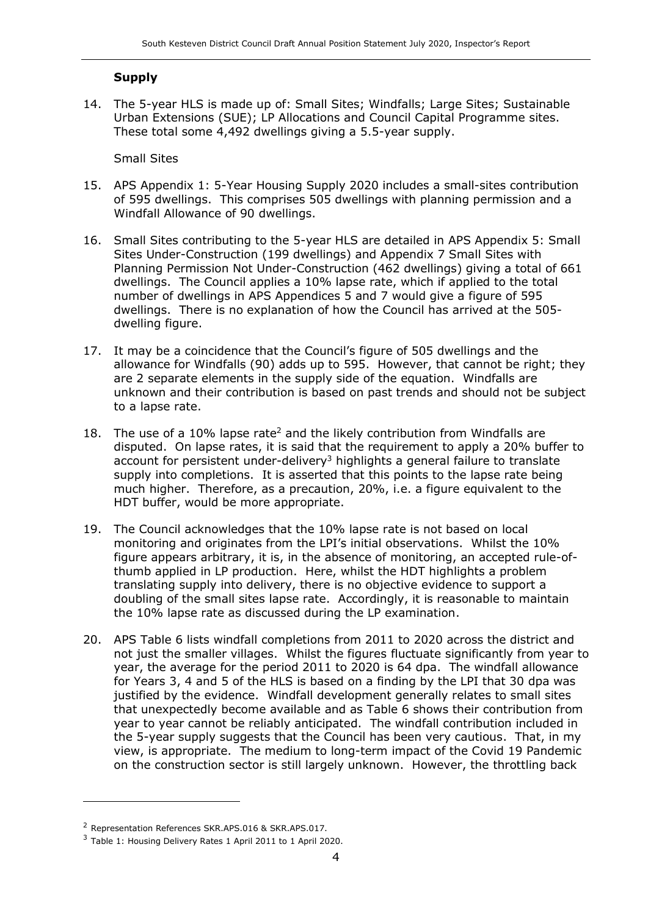#### **Supply**

14. The 5-year HLS is made up of: Small Sites; Windfalls; Large Sites; Sustainable Urban Extensions (SUE); LP Allocations and Council Capital Programme sites. These total some 4,492 dwellings giving a 5.5-year supply.

Small Sites

- 15. APS Appendix 1: 5-Year Housing Supply 2020 includes a small-sites contribution of 595 dwellings. This comprises 505 dwellings with planning permission and a Windfall Allowance of 90 dwellings.
- 16. Small Sites contributing to the 5-year HLS are detailed in APS Appendix 5: Small Sites Under-Construction (199 dwellings) and Appendix 7 Small Sites with Planning Permission Not Under-Construction (462 dwellings) giving a total of 661 dwellings. The Council applies a 10% lapse rate, which if applied to the total number of dwellings in APS Appendices 5 and 7 would give a figure of 595 dwellings. There is no explanation of how the Council has arrived at the 505 dwelling figure.
- 17. It may be a coincidence that the Council's figure of 505 dwellings and the allowance for Windfalls (90) adds up to 595. However, that cannot be right; they are 2 separate elements in the supply side of the equation. Windfalls are unknown and their contribution is based on past trends and should not be subject to a lapse rate.
- 18. The use of a 10% lapse rate<sup>2</sup> and the likely contribution from Windfalls are disputed. On lapse rates, it is said that the requirement to apply a 20% buffer to account for persistent under-delivery<sup>3</sup> highlights a general failure to translate supply into completions. It is asserted that this points to the lapse rate being much higher. Therefore, as a precaution, 20%, i.e. a figure equivalent to the HDT buffer, would be more appropriate.
- 19. The Council acknowledges that the 10% lapse rate is not based on local monitoring and originates from the LPI's initial observations. Whilst the 10% figure appears arbitrary, it is, in the absence of monitoring, an accepted rule-ofthumb applied in LP production. Here, whilst the HDT highlights a problem translating supply into delivery, there is no objective evidence to support a doubling of the small sites lapse rate. Accordingly, it is reasonable to maintain the 10% lapse rate as discussed during the LP examination.
- 20. APS Table 6 lists windfall completions from 2011 to 2020 across the district and not just the smaller villages. Whilst the figures fluctuate significantly from year to year, the average for the period 2011 to 2020 is 64 dpa. The windfall allowance for Years 3, 4 and 5 of the HLS is based on a finding by the LPI that 30 dpa was justified by the evidence. Windfall development generally relates to small sites that unexpectedly become available and as Table 6 shows their contribution from year to year cannot be reliably anticipated. The windfall contribution included in the 5-year supply suggests that the Council has been very cautious. That, in my view, is appropriate. The medium to long-term impact of the Covid 19 Pandemic on the construction sector is still largely unknown. However, the throttling back

<sup>2</sup> Representation References SKR.APS.016 & SKR.APS.017.

<sup>&</sup>lt;sup>3</sup> Table 1: Housing Delivery Rates 1 April 2011 to 1 April 2020.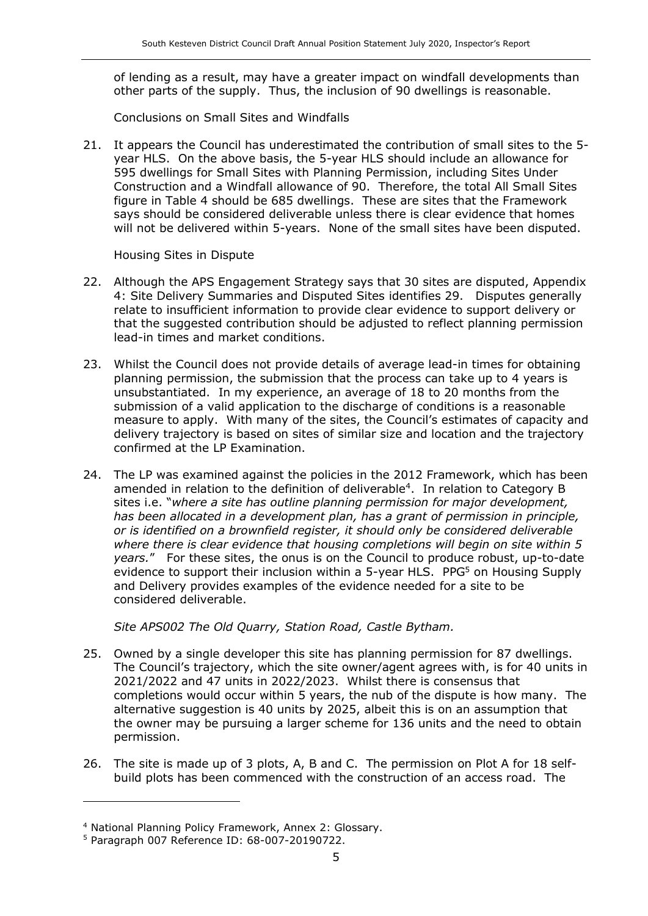of lending as a result, may have a greater impact on windfall developments than other parts of the supply. Thus, the inclusion of 90 dwellings is reasonable.

Conclusions on Small Sites and Windfalls

21. It appears the Council has underestimated the contribution of small sites to the 5 year HLS. On the above basis, the 5-year HLS should include an allowance for 595 dwellings for Small Sites with Planning Permission, including Sites Under Construction and a Windfall allowance of 90. Therefore, the total All Small Sites figure in Table 4 should be 685 dwellings. These are sites that the Framework says should be considered deliverable unless there is clear evidence that homes will not be delivered within 5-years. None of the small sites have been disputed.

Housing Sites in Dispute

- 22. Although the APS Engagement Strategy says that 30 sites are disputed, Appendix 4: Site Delivery Summaries and Disputed Sites identifies 29. Disputes generally relate to insufficient information to provide clear evidence to support delivery or that the suggested contribution should be adjusted to reflect planning permission lead-in times and market conditions.
- 23. Whilst the Council does not provide details of average lead-in times for obtaining planning permission, the submission that the process can take up to 4 years is unsubstantiated. In my experience, an average of 18 to 20 months from the submission of a valid application to the discharge of conditions is a reasonable measure to apply. With many of the sites, the Council's estimates of capacity and delivery trajectory is based on sites of similar size and location and the trajectory confirmed at the LP Examination.
- 24. The LP was examined against the policies in the 2012 Framework, which has been amended in relation to the definition of deliverable<sup>4</sup>. In relation to Category B sites i.e. "*where a site has outline planning permission for major development, has been allocated in a development plan, has a grant of permission in principle, or is identified on a brownfield register, it should only be considered deliverable where there is clear evidence that housing completions will begin on site within 5 years.*" For these sites, the onus is on the Council to produce robust, up-to-date evidence to support their inclusion within a 5-year HLS. PPG<sup>5</sup> on Housing Supply and Delivery provides examples of the evidence needed for a site to be considered deliverable.

*Site APS002 The Old Quarry, Station Road, Castle Bytham.*

- 25. Owned by a single developer this site has planning permission for 87 dwellings. The Council's trajectory, which the site owner/agent agrees with, is for 40 units in 2021/2022 and 47 units in 2022/2023. Whilst there is consensus that completions would occur within 5 years, the nub of the dispute is how many. The alternative suggestion is 40 units by 2025, albeit this is on an assumption that the owner may be pursuing a larger scheme for 136 units and the need to obtain permission.
- 26. The site is made up of 3 plots, A, B and C. The permission on Plot A for 18 selfbuild plots has been commenced with the construction of an access road. The

<sup>4</sup> National Planning Policy Framework, Annex 2: Glossary.

<sup>5</sup> Paragraph 007 Reference ID: 68-007-20190722.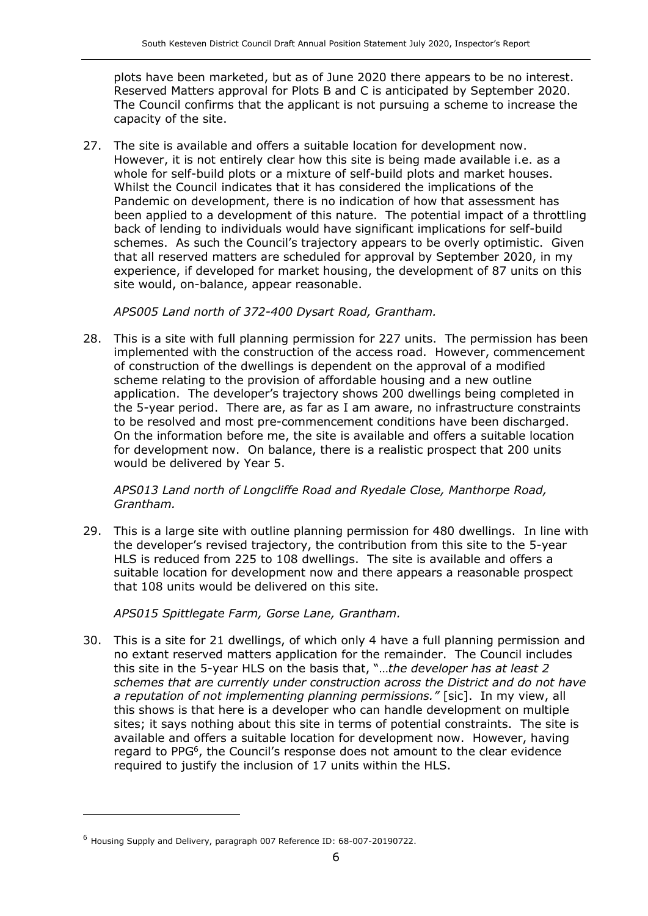plots have been marketed, but as of June 2020 there appears to be no interest. Reserved Matters approval for Plots B and C is anticipated by September 2020. The Council confirms that the applicant is not pursuing a scheme to increase the capacity of the site.

27. The site is available and offers a suitable location for development now. However, it is not entirely clear how this site is being made available i.e. as a whole for self-build plots or a mixture of self-build plots and market houses. Whilst the Council indicates that it has considered the implications of the Pandemic on development, there is no indication of how that assessment has been applied to a development of this nature. The potential impact of a throttling back of lending to individuals would have significant implications for self-build schemes. As such the Council's trajectory appears to be overly optimistic. Given that all reserved matters are scheduled for approval by September 2020, in my experience, if developed for market housing, the development of 87 units on this site would, on-balance, appear reasonable.

*APS005 Land north of 372-400 Dysart Road, Grantham.*

28. This is a site with full planning permission for 227 units. The permission has been implemented with the construction of the access road. However, commencement of construction of the dwellings is dependent on the approval of a modified scheme relating to the provision of affordable housing and a new outline application. The developer's trajectory shows 200 dwellings being completed in the 5-year period. There are, as far as I am aware, no infrastructure constraints to be resolved and most pre-commencement conditions have been discharged. On the information before me, the site is available and offers a suitable location for development now. On balance, there is a realistic prospect that 200 units would be delivered by Year 5.

### *APS013 Land north of Longcliffe Road and Ryedale Close, Manthorpe Road, Grantham.*

29. This is a large site with outline planning permission for 480 dwellings. In line with the developer's revised trajectory, the contribution from this site to the 5-year HLS is reduced from 225 to 108 dwellings. The site is available and offers a suitable location for development now and there appears a reasonable prospect that 108 units would be delivered on this site.

*APS015 Spittlegate Farm, Gorse Lane, Grantham.*

30. This is a site for 21 dwellings, of which only 4 have a full planning permission and no extant reserved matters application for the remainder. The Council includes this site in the 5-year HLS on the basis that, "…*the developer has at least 2 schemes that are currently under construction across the District and do not have a reputation of not implementing planning permissions."* [sic].In my view, all this shows is that here is a developer who can handle development on multiple sites; it says nothing about this site in terms of potential constraints. The site is available and offers a suitable location for development now. However, having regard to PPG<sup>6</sup>, the Council's response does not amount to the clear evidence required to justify the inclusion of 17 units within the HLS.

<sup>6</sup> Housing Supply and Delivery, paragraph 007 Reference ID: 68-007-20190722.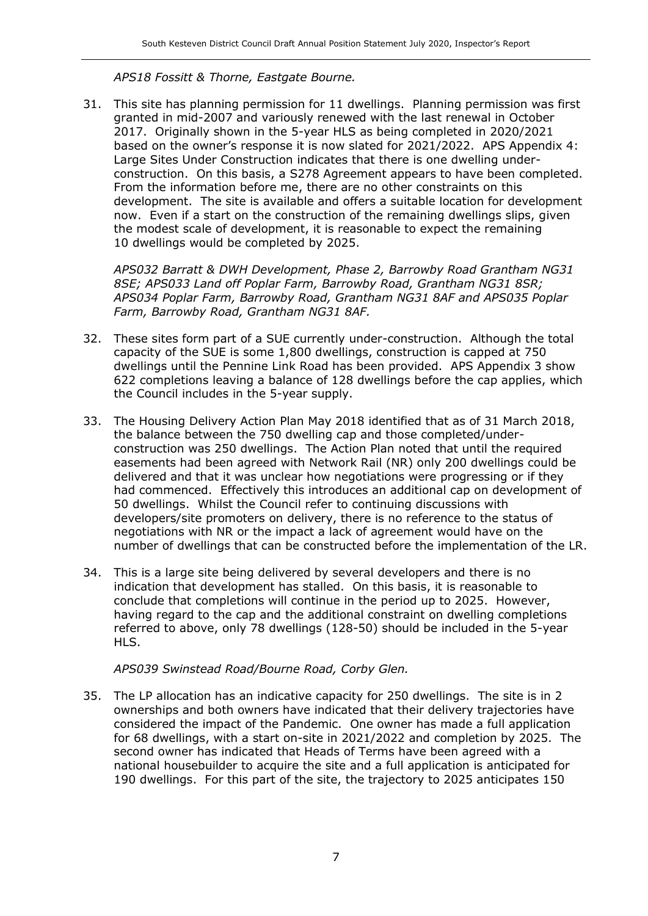*APS18 Fossitt & Thorne, Eastgate Bourne.*

31. This site has planning permission for 11 dwellings. Planning permission was first granted in mid-2007 and variously renewed with the last renewal in October 2017. Originally shown in the 5-year HLS as being completed in 2020/2021 based on the owner's response it is now slated for 2021/2022. APS Appendix 4: Large Sites Under Construction indicates that there is one dwelling underconstruction. On this basis, a S278 Agreement appears to have been completed. From the information before me, there are no other constraints on this development. The site is available and offers a suitable location for development now. Even if a start on the construction of the remaining dwellings slips, given the modest scale of development, it is reasonable to expect the remaining 10 dwellings would be completed by 2025.

*APS032 Barratt & DWH Development, Phase 2, Barrowby Road Grantham NG31 8SE; APS033 Land off Poplar Farm, Barrowby Road, Grantham NG31 8SR; APS034 Poplar Farm, Barrowby Road, Grantham NG31 8AF and APS035 Poplar Farm, Barrowby Road, Grantham NG31 8AF.*

- 32. These sites form part of a SUE currently under-construction. Although the total capacity of the SUE is some 1,800 dwellings, construction is capped at 750 dwellings until the Pennine Link Road has been provided. APS Appendix 3 show 622 completions leaving a balance of 128 dwellings before the cap applies, which the Council includes in the 5-year supply.
- 33. The Housing Delivery Action Plan May 2018 identified that as of 31 March 2018, the balance between the 750 dwelling cap and those completed/underconstruction was 250 dwellings. The Action Plan noted that until the required easements had been agreed with Network Rail (NR) only 200 dwellings could be delivered and that it was unclear how negotiations were progressing or if they had commenced. Effectively this introduces an additional cap on development of 50 dwellings. Whilst the Council refer to continuing discussions with developers/site promoters on delivery, there is no reference to the status of negotiations with NR or the impact a lack of agreement would have on the number of dwellings that can be constructed before the implementation of the LR.
- 34. This is a large site being delivered by several developers and there is no indication that development has stalled. On this basis, it is reasonable to conclude that completions will continue in the period up to 2025. However, having regard to the cap and the additional constraint on dwelling completions referred to above, only 78 dwellings (128-50) should be included in the 5-year HLS.

*APS039 Swinstead Road/Bourne Road, Corby Glen.*

35. The LP allocation has an indicative capacity for 250 dwellings. The site is in 2 ownerships and both owners have indicated that their delivery trajectories have considered the impact of the Pandemic. One owner has made a full application for 68 dwellings, with a start on-site in 2021/2022 and completion by 2025. The second owner has indicated that Heads of Terms have been agreed with a national housebuilder to acquire the site and a full application is anticipated for 190 dwellings. For this part of the site, the trajectory to 2025 anticipates 150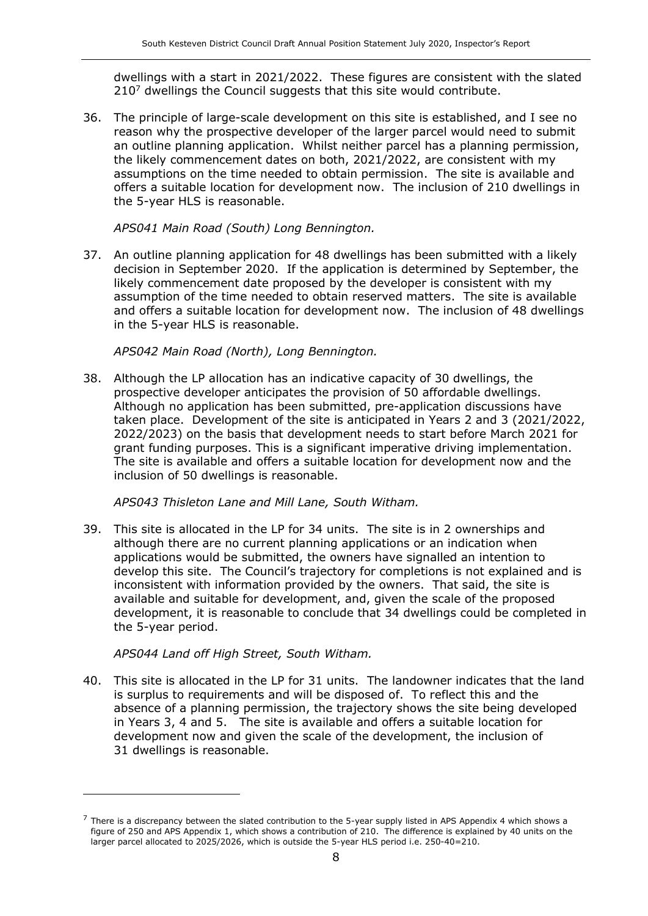dwellings with a start in 2021/2022. These figures are consistent with the slated 210<sup>7</sup> dwellings the Council suggests that this site would contribute.

36. The principle of large-scale development on this site is established, and I see no reason why the prospective developer of the larger parcel would need to submit an outline planning application. Whilst neither parcel has a planning permission, the likely commencement dates on both, 2021/2022, are consistent with my assumptions on the time needed to obtain permission. The site is available and offers a suitable location for development now. The inclusion of 210 dwellings in the 5-year HLS is reasonable.

### *APS041 Main Road (South) Long Bennington.*

37. An outline planning application for 48 dwellings has been submitted with a likely decision in September 2020. If the application is determined by September, the likely commencement date proposed by the developer is consistent with my assumption of the time needed to obtain reserved matters. The site is available and offers a suitable location for development now. The inclusion of 48 dwellings in the 5-year HLS is reasonable.

### *APS042 Main Road (North), Long Bennington.*

38. Although the LP allocation has an indicative capacity of 30 dwellings, the prospective developer anticipates the provision of 50 affordable dwellings. Although no application has been submitted, pre-application discussions have taken place. Development of the site is anticipated in Years 2 and 3 (2021/2022, 2022/2023) on the basis that development needs to start before March 2021 for grant funding purposes. This is a significant imperative driving implementation. The site is available and offers a suitable location for development now and the inclusion of 50 dwellings is reasonable.

*APS043 Thisleton Lane and Mill Lane, South Witham.*

39. This site is allocated in the LP for 34 units. The site is in 2 ownerships and although there are no current planning applications or an indication when applications would be submitted, the owners have signalled an intention to develop this site. The Council's trajectory for completions is not explained and is inconsistent with information provided by the owners. That said, the site is available and suitable for development, and, given the scale of the proposed development, it is reasonable to conclude that 34 dwellings could be completed in the 5-year period.

*APS044 Land off High Street, South Witham.*

40. This site is allocated in the LP for 31 units. The landowner indicates that the land is surplus to requirements and will be disposed of. To reflect this and the absence of a planning permission, the trajectory shows the site being developed in Years 3, 4 and 5. The site is available and offers a suitable location for development now and given the scale of the development, the inclusion of 31 dwellings is reasonable.

 $^7$  There is a discrepancy between the slated contribution to the 5-year supply listed in APS Appendix 4 which shows a figure of 250 and APS Appendix 1, which shows a contribution of 210. The difference is explained by 40 units on the larger parcel allocated to 2025/2026, which is outside the 5-year HLS period i.e. 250-40=210.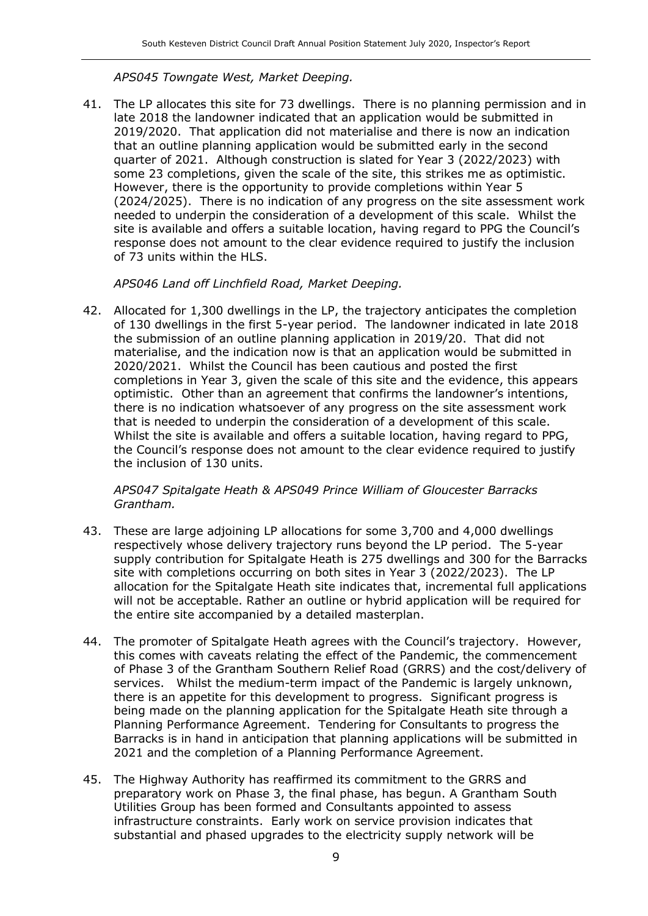# *APS045 Towngate West, Market Deeping.*

41. The LP allocates this site for 73 dwellings. There is no planning permission and in late 2018 the landowner indicated that an application would be submitted in 2019/2020. That application did not materialise and there is now an indication that an outline planning application would be submitted early in the second quarter of 2021. Although construction is slated for Year 3 (2022/2023) with some 23 completions, given the scale of the site, this strikes me as optimistic. However, there is the opportunity to provide completions within Year 5 (2024/2025). There is no indication of any progress on the site assessment work needed to underpin the consideration of a development of this scale. Whilst the site is available and offers a suitable location, having regard to PPG the Council's response does not amount to the clear evidence required to justify the inclusion of 73 units within the HLS.

# *APS046 Land off Linchfield Road, Market Deeping.*

42. Allocated for 1,300 dwellings in the LP, the trajectory anticipates the completion of 130 dwellings in the first 5-year period. The landowner indicated in late 2018 the submission of an outline planning application in 2019/20. That did not materialise, and the indication now is that an application would be submitted in 2020/2021. Whilst the Council has been cautious and posted the first completions in Year 3, given the scale of this site and the evidence, this appears optimistic. Other than an agreement that confirms the landowner's intentions, there is no indication whatsoever of any progress on the site assessment work that is needed to underpin the consideration of a development of this scale. Whilst the site is available and offers a suitable location, having regard to PPG, the Council's response does not amount to the clear evidence required to justify the inclusion of 130 units.

### *APS047 Spitalgate Heath & APS049 Prince William of Gloucester Barracks Grantham.*

- 43. These are large adjoining LP allocations for some 3,700 and 4,000 dwellings respectively whose delivery trajectory runs beyond the LP period. The 5-year supply contribution for Spitalgate Heath is 275 dwellings and 300 for the Barracks site with completions occurring on both sites in Year 3 (2022/2023). The LP allocation for the Spitalgate Heath site indicates that, incremental full applications will not be acceptable. Rather an outline or hybrid application will be required for the entire site accompanied by a detailed masterplan.
- 44. The promoter of Spitalgate Heath agrees with the Council's trajectory. However, this comes with caveats relating the effect of the Pandemic, the commencement of Phase 3 of the Grantham Southern Relief Road (GRRS) and the cost/delivery of services. Whilst the medium-term impact of the Pandemic is largely unknown, there is an appetite for this development to progress. Significant progress is being made on the planning application for the Spitalgate Heath site through a Planning Performance Agreement. Tendering for Consultants to progress the Barracks is in hand in anticipation that planning applications will be submitted in 2021 and the completion of a Planning Performance Agreement.
- 45. The Highway Authority has reaffirmed its commitment to the GRRS and preparatory work on Phase 3, the final phase, has begun. A Grantham South Utilities Group has been formed and Consultants appointed to assess infrastructure constraints. Early work on service provision indicates that substantial and phased upgrades to the electricity supply network will be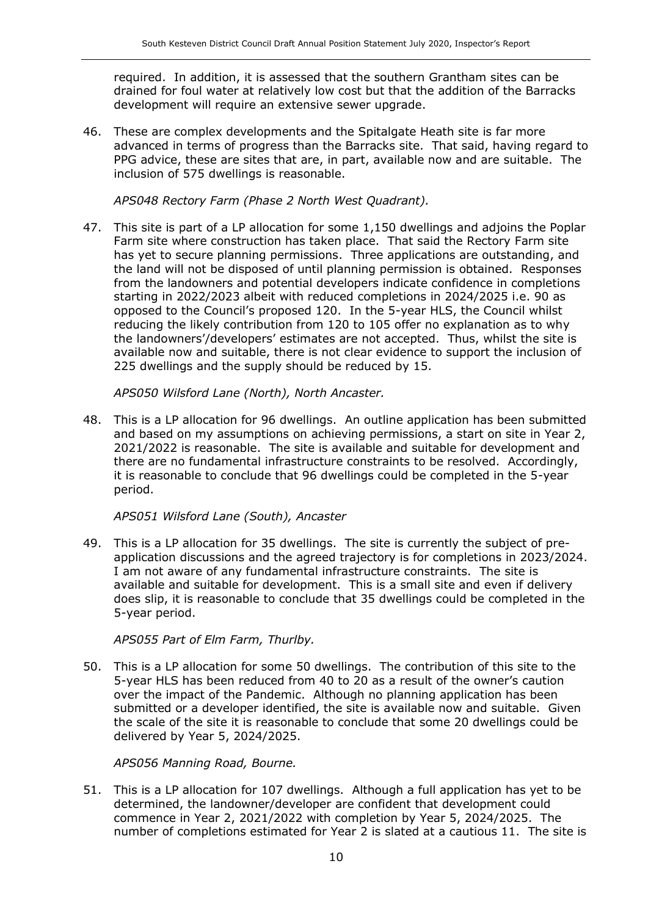required. In addition, it is assessed that the southern Grantham sites can be drained for foul water at relatively low cost but that the addition of the Barracks development will require an extensive sewer upgrade.

46. These are complex developments and the Spitalgate Heath site is far more advanced in terms of progress than the Barracks site. That said, having regard to PPG advice, these are sites that are, in part, available now and are suitable. The inclusion of 575 dwellings is reasonable.

*APS048 Rectory Farm (Phase 2 North West Quadrant).*

47. This site is part of a LP allocation for some 1,150 dwellings and adjoins the Poplar Farm site where construction has taken place. That said the Rectory Farm site has yet to secure planning permissions. Three applications are outstanding, and the land will not be disposed of until planning permission is obtained. Responses from the landowners and potential developers indicate confidence in completions starting in 2022/2023 albeit with reduced completions in 2024/2025 i.e. 90 as opposed to the Council's proposed 120. In the 5-year HLS, the Council whilst reducing the likely contribution from 120 to 105 offer no explanation as to why the landowners'/developers' estimates are not accepted. Thus, whilst the site is available now and suitable, there is not clear evidence to support the inclusion of 225 dwellings and the supply should be reduced by 15.

*APS050 Wilsford Lane (North), North Ancaster.*

48. This is a LP allocation for 96 dwellings. An outline application has been submitted and based on my assumptions on achieving permissions, a start on site in Year 2, 2021/2022 is reasonable. The site is available and suitable for development and there are no fundamental infrastructure constraints to be resolved. Accordingly, it is reasonable to conclude that 96 dwellings could be completed in the 5-year period.

*APS051 Wilsford Lane (South), Ancaster*

49. This is a LP allocation for 35 dwellings. The site is currently the subject of preapplication discussions and the agreed trajectory is for completions in 2023/2024. I am not aware of any fundamental infrastructure constraints. The site is available and suitable for development. This is a small site and even if delivery does slip, it is reasonable to conclude that 35 dwellings could be completed in the 5-year period.

*APS055 Part of Elm Farm, Thurlby.*

50. This is a LP allocation for some 50 dwellings. The contribution of this site to the 5-year HLS has been reduced from 40 to 20 as a result of the owner's caution over the impact of the Pandemic. Although no planning application has been submitted or a developer identified, the site is available now and suitable. Given the scale of the site it is reasonable to conclude that some 20 dwellings could be delivered by Year 5, 2024/2025.

*APS056 Manning Road, Bourne.*

51. This is a LP allocation for 107 dwellings. Although a full application has yet to be determined, the landowner/developer are confident that development could commence in Year 2, 2021/2022 with completion by Year 5, 2024/2025. The number of completions estimated for Year 2 is slated at a cautious 11. The site is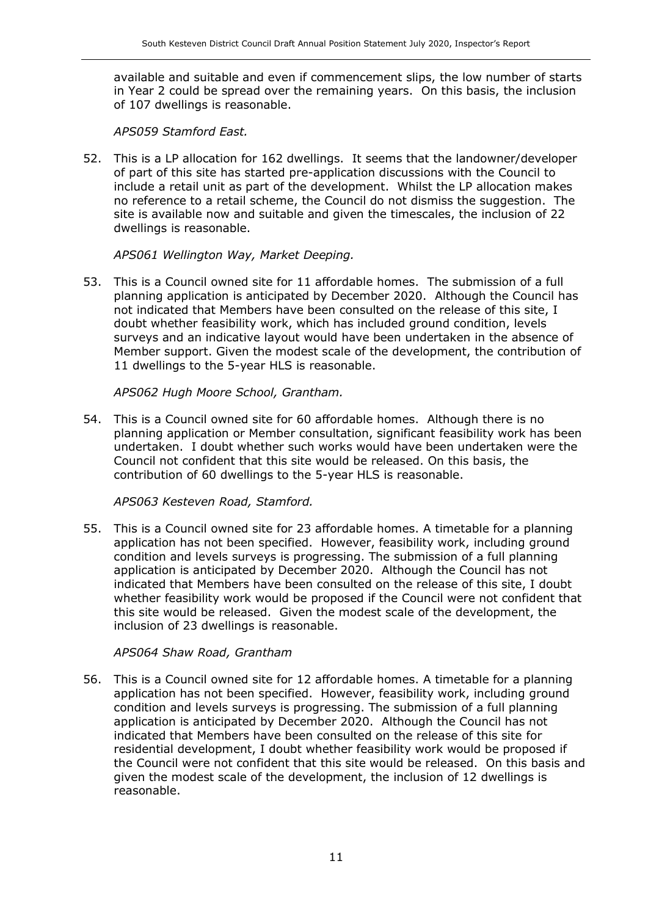available and suitable and even if commencement slips, the low number of starts in Year 2 could be spread over the remaining years. On this basis, the inclusion of 107 dwellings is reasonable.

#### *APS059 Stamford East.*

52. This is a LP allocation for 162 dwellings. It seems that the landowner/developer of part of this site has started pre-application discussions with the Council to include a retail unit as part of the development. Whilst the LP allocation makes no reference to a retail scheme, the Council do not dismiss the suggestion. The site is available now and suitable and given the timescales, the inclusion of 22 dwellings is reasonable.

*APS061 Wellington Way, Market Deeping.*

53. This is a Council owned site for 11 affordable homes. The submission of a full planning application is anticipated by December 2020. Although the Council has not indicated that Members have been consulted on the release of this site, I doubt whether feasibility work, which has included ground condition, levels surveys and an indicative layout would have been undertaken in the absence of Member support. Given the modest scale of the development, the contribution of 11 dwellings to the 5-year HLS is reasonable.

#### *APS062 Hugh Moore School, Grantham.*

54. This is a Council owned site for 60 affordable homes. Although there is no planning application or Member consultation, significant feasibility work has been undertaken. I doubt whether such works would have been undertaken were the Council not confident that this site would be released. On this basis, the contribution of 60 dwellings to the 5-year HLS is reasonable.

#### *APS063 Kesteven Road, Stamford.*

55. This is a Council owned site for 23 affordable homes. A timetable for a planning application has not been specified. However, feasibility work, including ground condition and levels surveys is progressing. The submission of a full planning application is anticipated by December 2020. Although the Council has not indicated that Members have been consulted on the release of this site, I doubt whether feasibility work would be proposed if the Council were not confident that this site would be released. Given the modest scale of the development, the inclusion of 23 dwellings is reasonable.

#### *APS064 Shaw Road, Grantham*

56. This is a Council owned site for 12 affordable homes. A timetable for a planning application has not been specified. However, feasibility work, including ground condition and levels surveys is progressing. The submission of a full planning application is anticipated by December 2020. Although the Council has not indicated that Members have been consulted on the release of this site for residential development, I doubt whether feasibility work would be proposed if the Council were not confident that this site would be released. On this basis and given the modest scale of the development, the inclusion of 12 dwellings is reasonable.